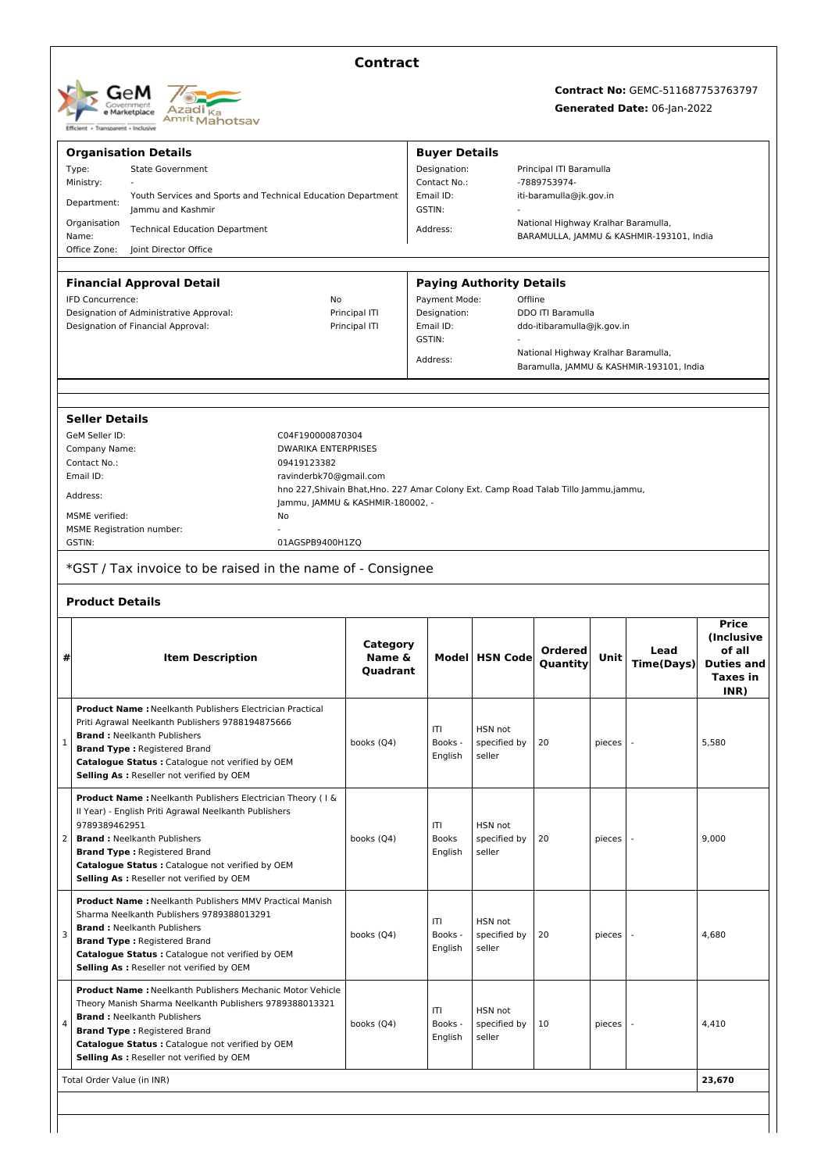

### **Contract**

# **Contract No:** GEMC-511687753763797

#### **Generated Date:** 06-Jan-2022

| <b>Buyer Details</b><br><b>Organisation Details</b><br><b>State Government</b><br>Designation:<br>Type:<br>Principal ITI Baramulla<br>Ministry:<br>Contact No.:<br>-7889753974-<br>Email ID:<br>Youth Services and Sports and Technical Education Department<br>iti-baramulla@jk.gov.in<br>Department:<br>GSTIN:<br>Jammu and Kashmir<br>National Highway Kralhar Baramulla,<br>Organisation<br><b>Technical Education Department</b><br>Address:<br>Name:<br>BARAMULLA, JAMMU & KASHMIR-193101, India<br>Office Zone:<br>Joint Director Office<br><b>Financial Approval Detail</b><br><b>Paying Authority Details</b><br>Offline<br><b>IFD Concurrence:</b><br>No<br>Payment Mode:<br>Designation of Administrative Approval:<br>Principal ITI<br>Designation:<br><b>DDO ITI Baramulla</b><br>Designation of Financial Approval:<br>Principal ITI<br>Email ID:<br>ddo-itibaramulla@jk.gov.in<br>GSTIN:<br>National Highway Kralhar Baramulla,<br>Address:<br>Baramulla, JAMMU & KASHMIR-193101, India<br><b>Seller Details</b><br>GeM Seller ID:<br>C04F190000870304<br><b>DWARIKA ENTERPRISES</b><br>Company Name:<br>Contact No.:<br>09419123382<br>Email ID:<br>ravinderbk70@gmail.com<br>hno 227, Shivain Bhat, Hno. 227 Amar Colony Ext. Camp Road Talab Tillo Jammu, jammu,<br>Address:<br>Jammu, JAMMU & KASHMIR-180002, -<br>MSME verified:<br>No<br><b>MSME Registration number:</b><br>GSTIN:<br>01AGSPB9400H1ZQ |                                                       |  |  |  |  |
|-----------------------------------------------------------------------------------------------------------------------------------------------------------------------------------------------------------------------------------------------------------------------------------------------------------------------------------------------------------------------------------------------------------------------------------------------------------------------------------------------------------------------------------------------------------------------------------------------------------------------------------------------------------------------------------------------------------------------------------------------------------------------------------------------------------------------------------------------------------------------------------------------------------------------------------------------------------------------------------------------------------------------------------------------------------------------------------------------------------------------------------------------------------------------------------------------------------------------------------------------------------------------------------------------------------------------------------------------------------------------------------------------------------------------------|-------------------------------------------------------|--|--|--|--|
|                                                                                                                                                                                                                                                                                                                                                                                                                                                                                                                                                                                                                                                                                                                                                                                                                                                                                                                                                                                                                                                                                                                                                                                                                                                                                                                                                                                                                             |                                                       |  |  |  |  |
|                                                                                                                                                                                                                                                                                                                                                                                                                                                                                                                                                                                                                                                                                                                                                                                                                                                                                                                                                                                                                                                                                                                                                                                                                                                                                                                                                                                                                             |                                                       |  |  |  |  |
|                                                                                                                                                                                                                                                                                                                                                                                                                                                                                                                                                                                                                                                                                                                                                                                                                                                                                                                                                                                                                                                                                                                                                                                                                                                                                                                                                                                                                             |                                                       |  |  |  |  |
|                                                                                                                                                                                                                                                                                                                                                                                                                                                                                                                                                                                                                                                                                                                                                                                                                                                                                                                                                                                                                                                                                                                                                                                                                                                                                                                                                                                                                             |                                                       |  |  |  |  |
|                                                                                                                                                                                                                                                                                                                                                                                                                                                                                                                                                                                                                                                                                                                                                                                                                                                                                                                                                                                                                                                                                                                                                                                                                                                                                                                                                                                                                             |                                                       |  |  |  |  |
|                                                                                                                                                                                                                                                                                                                                                                                                                                                                                                                                                                                                                                                                                                                                                                                                                                                                                                                                                                                                                                                                                                                                                                                                                                                                                                                                                                                                                             |                                                       |  |  |  |  |
|                                                                                                                                                                                                                                                                                                                                                                                                                                                                                                                                                                                                                                                                                                                                                                                                                                                                                                                                                                                                                                                                                                                                                                                                                                                                                                                                                                                                                             |                                                       |  |  |  |  |
|                                                                                                                                                                                                                                                                                                                                                                                                                                                                                                                                                                                                                                                                                                                                                                                                                                                                                                                                                                                                                                                                                                                                                                                                                                                                                                                                                                                                                             |                                                       |  |  |  |  |
|                                                                                                                                                                                                                                                                                                                                                                                                                                                                                                                                                                                                                                                                                                                                                                                                                                                                                                                                                                                                                                                                                                                                                                                                                                                                                                                                                                                                                             |                                                       |  |  |  |  |
|                                                                                                                                                                                                                                                                                                                                                                                                                                                                                                                                                                                                                                                                                                                                                                                                                                                                                                                                                                                                                                                                                                                                                                                                                                                                                                                                                                                                                             |                                                       |  |  |  |  |
|                                                                                                                                                                                                                                                                                                                                                                                                                                                                                                                                                                                                                                                                                                                                                                                                                                                                                                                                                                                                                                                                                                                                                                                                                                                                                                                                                                                                                             |                                                       |  |  |  |  |
|                                                                                                                                                                                                                                                                                                                                                                                                                                                                                                                                                                                                                                                                                                                                                                                                                                                                                                                                                                                                                                                                                                                                                                                                                                                                                                                                                                                                                             |                                                       |  |  |  |  |
|                                                                                                                                                                                                                                                                                                                                                                                                                                                                                                                                                                                                                                                                                                                                                                                                                                                                                                                                                                                                                                                                                                                                                                                                                                                                                                                                                                                                                             |                                                       |  |  |  |  |
|                                                                                                                                                                                                                                                                                                                                                                                                                                                                                                                                                                                                                                                                                                                                                                                                                                                                                                                                                                                                                                                                                                                                                                                                                                                                                                                                                                                                                             |                                                       |  |  |  |  |
|                                                                                                                                                                                                                                                                                                                                                                                                                                                                                                                                                                                                                                                                                                                                                                                                                                                                                                                                                                                                                                                                                                                                                                                                                                                                                                                                                                                                                             |                                                       |  |  |  |  |
|                                                                                                                                                                                                                                                                                                                                                                                                                                                                                                                                                                                                                                                                                                                                                                                                                                                                                                                                                                                                                                                                                                                                                                                                                                                                                                                                                                                                                             |                                                       |  |  |  |  |
|                                                                                                                                                                                                                                                                                                                                                                                                                                                                                                                                                                                                                                                                                                                                                                                                                                                                                                                                                                                                                                                                                                                                                                                                                                                                                                                                                                                                                             |                                                       |  |  |  |  |
|                                                                                                                                                                                                                                                                                                                                                                                                                                                                                                                                                                                                                                                                                                                                                                                                                                                                                                                                                                                                                                                                                                                                                                                                                                                                                                                                                                                                                             |                                                       |  |  |  |  |
|                                                                                                                                                                                                                                                                                                                                                                                                                                                                                                                                                                                                                                                                                                                                                                                                                                                                                                                                                                                                                                                                                                                                                                                                                                                                                                                                                                                                                             |                                                       |  |  |  |  |
|                                                                                                                                                                                                                                                                                                                                                                                                                                                                                                                                                                                                                                                                                                                                                                                                                                                                                                                                                                                                                                                                                                                                                                                                                                                                                                                                                                                                                             |                                                       |  |  |  |  |
|                                                                                                                                                                                                                                                                                                                                                                                                                                                                                                                                                                                                                                                                                                                                                                                                                                                                                                                                                                                                                                                                                                                                                                                                                                                                                                                                                                                                                             |                                                       |  |  |  |  |
| *GST / Tax invoice to be raised in the name of - Consignee<br><b>Product Details</b>                                                                                                                                                                                                                                                                                                                                                                                                                                                                                                                                                                                                                                                                                                                                                                                                                                                                                                                                                                                                                                                                                                                                                                                                                                                                                                                                        |                                                       |  |  |  |  |
|                                                                                                                                                                                                                                                                                                                                                                                                                                                                                                                                                                                                                                                                                                                                                                                                                                                                                                                                                                                                                                                                                                                                                                                                                                                                                                                                                                                                                             | <b>Price</b>                                          |  |  |  |  |
| Category<br>Ordered<br>Lead<br>Name &<br>Model HSN Code<br>Unit<br>#<br><b>Item Description</b><br>Quantity<br><b>Time(Days)</b><br>Quadrant                                                                                                                                                                                                                                                                                                                                                                                                                                                                                                                                                                                                                                                                                                                                                                                                                                                                                                                                                                                                                                                                                                                                                                                                                                                                                | (Inclusive<br>of all<br><b>Duties and</b><br>Taxes in |  |  |  |  |
| <b>Product Name: Neelkanth Publishers Electrician Practical</b><br>Priti Agrawal Neelkanth Publishers 9788194875666<br>ITI<br>HSN not<br><b>Brand: Neelkanth Publishers</b><br>Books -<br>specified by<br>5,580<br>books (Q4)<br>20<br>pieces<br>1<br><b>Brand Type: Registered Brand</b><br>English<br>seller<br>Catalogue Status : Catalogue not verified by OEM<br>Selling As : Reseller not verified by OEM                                                                                                                                                                                                                                                                                                                                                                                                                                                                                                                                                                                                                                                                                                                                                                                                                                                                                                                                                                                                             | INR)                                                  |  |  |  |  |
| Product Name : Neelkanth Publishers Electrician Theory ( I &<br>Il Year) - English Priti Agrawal Neelkanth Publishers<br>ITI<br>9789389462951<br>HSN not<br>2<br><b>Brand: Neelkanth Publishers</b><br>books (Q4)<br><b>Books</b><br>specified by<br>20<br>9,000<br>pieces<br><b>Brand Type: Registered Brand</b><br>English<br>seller<br>Catalogue Status : Catalogue not verified by OEM                                                                                                                                                                                                                                                                                                                                                                                                                                                                                                                                                                                                                                                                                                                                                                                                                                                                                                                                                                                                                                  |                                                       |  |  |  |  |
| Selling As : Reseller not verified by OEM<br><b>Product Name: Neelkanth Publishers MMV Practical Manish</b><br>Sharma Neelkanth Publishers 9789388013291<br> T <br>HSN not<br><b>Brand: Neelkanth Publishers</b><br>3<br>Books -<br>books (Q4)<br>specified by<br>20<br>4,680<br>pieces<br><b>Brand Type: Registered Brand</b><br>English<br>seller<br>Catalogue Status : Catalogue not verified by OEM<br>Selling As : Reseller not verified by OEM                                                                                                                                                                                                                                                                                                                                                                                                                                                                                                                                                                                                                                                                                                                                                                                                                                                                                                                                                                        |                                                       |  |  |  |  |
| <b>Product Name: Neelkanth Publishers Mechanic Motor Vehicle</b>                                                                                                                                                                                                                                                                                                                                                                                                                                                                                                                                                                                                                                                                                                                                                                                                                                                                                                                                                                                                                                                                                                                                                                                                                                                                                                                                                            |                                                       |  |  |  |  |
| Theory Manish Sharma Neelkanth Publishers 9789388013321<br>ITI<br>HSN not<br><b>Brand: Neelkanth Publishers</b><br>books (Q4)<br>Books -<br>specified by<br>10<br>4,410<br>pieces<br><b>Brand Type: Registered Brand</b><br>English<br>seller<br>Catalogue Status : Catalogue not verified by OEM<br>Selling As : Reseller not verified by OEM                                                                                                                                                                                                                                                                                                                                                                                                                                                                                                                                                                                                                                                                                                                                                                                                                                                                                                                                                                                                                                                                              |                                                       |  |  |  |  |
| Total Order Value (in INR)<br>23,670                                                                                                                                                                                                                                                                                                                                                                                                                                                                                                                                                                                                                                                                                                                                                                                                                                                                                                                                                                                                                                                                                                                                                                                                                                                                                                                                                                                        |                                                       |  |  |  |  |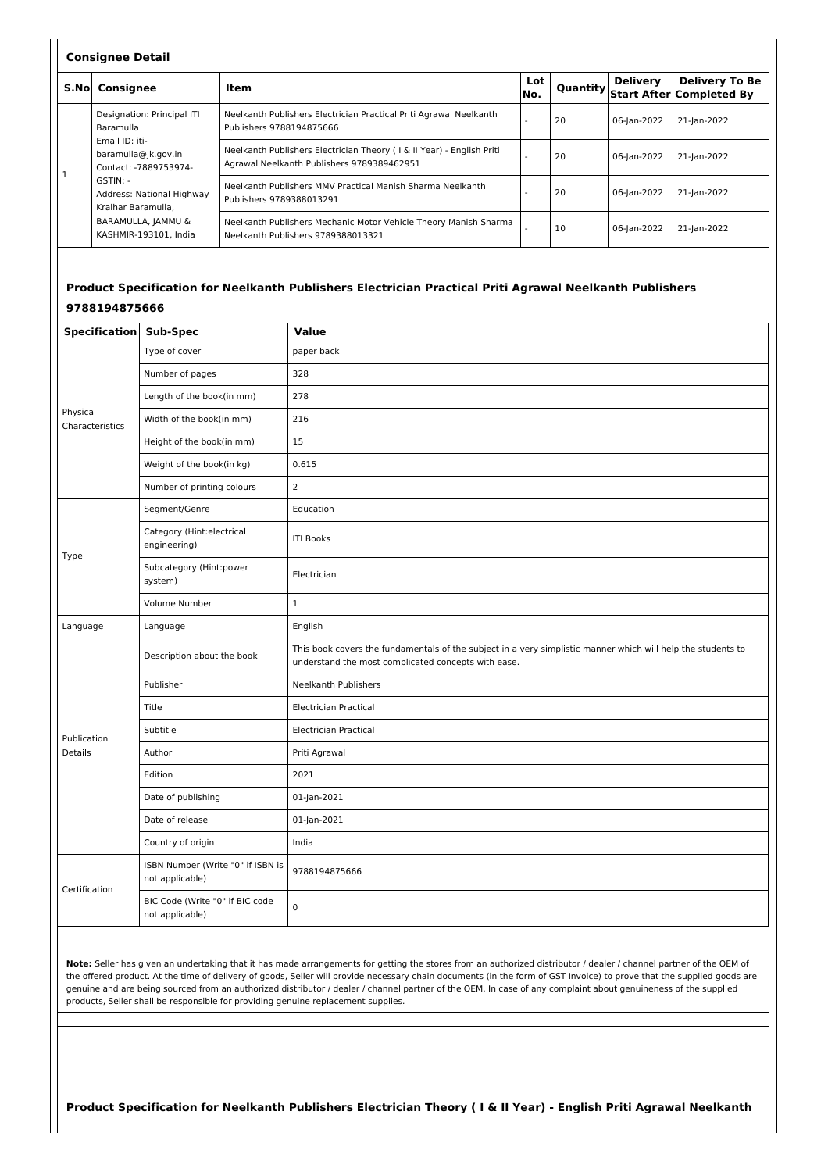#### **Consignee Detail**

| S.Nol        | Consignee                                                                                                                                                                                                                 | Item                                                                                                                | Lot<br>INo. |    | Delivery    | <b>Delivery To Be</b><br>Quantity Start After Completed By |
|--------------|---------------------------------------------------------------------------------------------------------------------------------------------------------------------------------------------------------------------------|---------------------------------------------------------------------------------------------------------------------|-------------|----|-------------|------------------------------------------------------------|
| $\mathbf{1}$ | Designation: Principal ITI<br>Baramulla<br>Email ID: iti-<br>baramulla@jk.gov.in<br>Contact: -7889753974-<br>$GSTIN: -$<br>Address: National Highway<br>Kralhar Baramulla.<br>BARAMULLA, JAMMU &<br>KASHMIR-193101. India | Neelkanth Publishers Electrician Practical Priti Agrawal Neelkanth<br>Publishers 9788194875666                      |             | 20 | 06-Jan-2022 | 21-Jan-2022                                                |
|              |                                                                                                                                                                                                                           | Neelkanth Publishers Electrician Theory (1 & II Year) - English Priti<br>Agrawal Neelkanth Publishers 9789389462951 |             | 20 | 06-Jan-2022 | 21-Jan-2022                                                |
|              |                                                                                                                                                                                                                           | Neelkanth Publishers MMV Practical Manish Sharma Neelkanth<br>Publishers 9789388013291                              |             | 20 | 06-lan-2022 | 21-Jan-2022                                                |
|              |                                                                                                                                                                                                                           | Neelkanth Publishers Mechanic Motor Vehicle Theory Manish Sharma<br>Neelkanth Publishers 9789388013321              |             | 10 | 06-Jan-2022 | 21-Jan-2022                                                |

## **Product Specification for Neelkanth Publishers Electrician Practical Priti Agrawal Neelkanth Publishers 9788194875666**

| Specification Sub-Spec      |                                                      | Value                                                                                                                                                               |  |
|-----------------------------|------------------------------------------------------|---------------------------------------------------------------------------------------------------------------------------------------------------------------------|--|
|                             | Type of cover                                        | paper back                                                                                                                                                          |  |
|                             | Number of pages                                      | 328                                                                                                                                                                 |  |
|                             | Length of the book(in mm)                            | 278                                                                                                                                                                 |  |
| Physical<br>Characteristics | Width of the book(in mm)                             | 216                                                                                                                                                                 |  |
|                             | Height of the book(in mm)                            | 15                                                                                                                                                                  |  |
|                             | Weight of the book(in kg)                            | 0.615                                                                                                                                                               |  |
|                             | Number of printing colours                           | $\overline{2}$                                                                                                                                                      |  |
|                             | Segment/Genre                                        | Education                                                                                                                                                           |  |
|                             | Category (Hint:electrical<br>engineering)            | <b>ITI Books</b>                                                                                                                                                    |  |
| Type                        | Subcategory (Hint:power<br>system)                   | Electrician                                                                                                                                                         |  |
|                             | Volume Number                                        | $\mathbf 1$                                                                                                                                                         |  |
| Language                    | Language                                             | English                                                                                                                                                             |  |
|                             | Description about the book                           | This book covers the fundamentals of the subject in a very simplistic manner which will help the students to<br>understand the most complicated concepts with ease. |  |
|                             | Publisher                                            | <b>Neelkanth Publishers</b>                                                                                                                                         |  |
|                             | Title                                                | <b>Electrician Practical</b>                                                                                                                                        |  |
| Publication                 | Subtitle                                             | <b>Electrician Practical</b>                                                                                                                                        |  |
| <b>Details</b>              | Author                                               | Priti Agrawal                                                                                                                                                       |  |
|                             | Edition                                              | 2021                                                                                                                                                                |  |
|                             | Date of publishing                                   | 01-Jan-2021                                                                                                                                                         |  |
|                             | Date of release                                      | 01-Jan-2021                                                                                                                                                         |  |
|                             | Country of origin                                    | India                                                                                                                                                               |  |
|                             | ISBN Number (Write "0" if ISBN is<br>not applicable) | 9788194875666                                                                                                                                                       |  |
| Certification               | BIC Code (Write "0" if BIC code<br>not applicable)   | 0                                                                                                                                                                   |  |

**Note:** Seller has given an undertaking that it has made arrangements for getting the stores from an authorized distributor / dealer / channel partner of the OEM of the offered product. At the time of delivery of goods, Seller will provide necessary chain documents (in the form of GST Invoice) to prove that the supplied goods are genuine and are being sourced from an authorized distributor / dealer / channel partner of the OEM. In case of any complaint about genuineness of the supplied products, Seller shall be responsible for providing genuine replacement supplies.

Product Specification for Neelkanth Publishers Electrician Theory (I & II Year) - English Priti Agrawal Neelkanth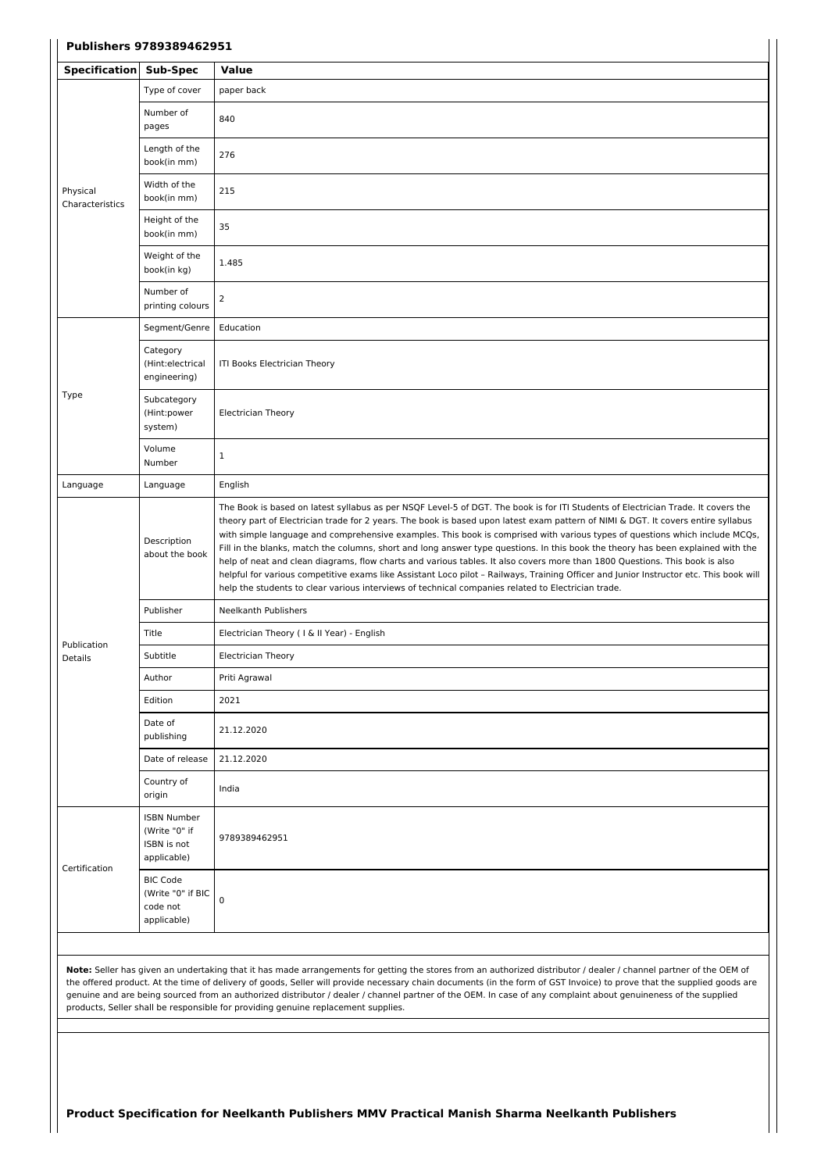| <b>Specification</b>        | Sub-Spec                                                          | Value                                                                                                                                                                                                                                                                                                                                                                                                                                                                                                                                                                                                                                                                                                                                                                                                                                                                                                                    |
|-----------------------------|-------------------------------------------------------------------|--------------------------------------------------------------------------------------------------------------------------------------------------------------------------------------------------------------------------------------------------------------------------------------------------------------------------------------------------------------------------------------------------------------------------------------------------------------------------------------------------------------------------------------------------------------------------------------------------------------------------------------------------------------------------------------------------------------------------------------------------------------------------------------------------------------------------------------------------------------------------------------------------------------------------|
|                             | Type of cover                                                     | paper back                                                                                                                                                                                                                                                                                                                                                                                                                                                                                                                                                                                                                                                                                                                                                                                                                                                                                                               |
|                             | Number of<br>pages                                                | 840                                                                                                                                                                                                                                                                                                                                                                                                                                                                                                                                                                                                                                                                                                                                                                                                                                                                                                                      |
|                             | Length of the<br>book(in mm)                                      | 276                                                                                                                                                                                                                                                                                                                                                                                                                                                                                                                                                                                                                                                                                                                                                                                                                                                                                                                      |
| Physical<br>Characteristics | Width of the<br>book(in mm)                                       | 215                                                                                                                                                                                                                                                                                                                                                                                                                                                                                                                                                                                                                                                                                                                                                                                                                                                                                                                      |
|                             | Height of the<br>book(in mm)                                      | 35                                                                                                                                                                                                                                                                                                                                                                                                                                                                                                                                                                                                                                                                                                                                                                                                                                                                                                                       |
|                             | Weight of the<br>book(in kg)                                      | 1.485                                                                                                                                                                                                                                                                                                                                                                                                                                                                                                                                                                                                                                                                                                                                                                                                                                                                                                                    |
|                             | Number of<br>printing colours                                     | $\overline{2}$                                                                                                                                                                                                                                                                                                                                                                                                                                                                                                                                                                                                                                                                                                                                                                                                                                                                                                           |
|                             | Segment/Genre                                                     | Education                                                                                                                                                                                                                                                                                                                                                                                                                                                                                                                                                                                                                                                                                                                                                                                                                                                                                                                |
|                             | Category<br>(Hint:electrical<br>engineering)                      | ITI Books Electrician Theory                                                                                                                                                                                                                                                                                                                                                                                                                                                                                                                                                                                                                                                                                                                                                                                                                                                                                             |
| Type                        | Subcategory<br>(Hint:power<br>system)                             | <b>Electrician Theory</b>                                                                                                                                                                                                                                                                                                                                                                                                                                                                                                                                                                                                                                                                                                                                                                                                                                                                                                |
|                             | Volume<br>Number                                                  | $\mathbf{1}$                                                                                                                                                                                                                                                                                                                                                                                                                                                                                                                                                                                                                                                                                                                                                                                                                                                                                                             |
| Language                    | Language                                                          | English                                                                                                                                                                                                                                                                                                                                                                                                                                                                                                                                                                                                                                                                                                                                                                                                                                                                                                                  |
|                             | Description<br>about the book                                     | The Book is based on latest syllabus as per NSQF Level-5 of DGT. The book is for ITI Students of Electrician Trade. It covers the<br>theory part of Electrician trade for 2 years. The book is based upon latest exam pattern of NIMI & DGT. It covers entire syllabus<br>with simple language and comprehensive examples. This book is comprised with various types of questions which include MCQs,<br>Fill in the blanks, match the columns, short and long answer type questions. In this book the theory has been explained with the<br>help of neat and clean diagrams, flow charts and various tables. It also covers more than 1800 Questions. This book is also<br>helpful for various competitive exams like Assistant Loco pilot - Railways, Training Officer and Junior Instructor etc. This book will<br>help the students to clear various interviews of technical companies related to Electrician trade. |
|                             | Publisher                                                         | Neelkanth Publishers                                                                                                                                                                                                                                                                                                                                                                                                                                                                                                                                                                                                                                                                                                                                                                                                                                                                                                     |
|                             | Title                                                             | Electrician Theory (I & II Year) - English                                                                                                                                                                                                                                                                                                                                                                                                                                                                                                                                                                                                                                                                                                                                                                                                                                                                               |
| Publication<br>Details      | Subtitle                                                          | <b>Electrician Theory</b>                                                                                                                                                                                                                                                                                                                                                                                                                                                                                                                                                                                                                                                                                                                                                                                                                                                                                                |
|                             | Author                                                            | Priti Agrawal                                                                                                                                                                                                                                                                                                                                                                                                                                                                                                                                                                                                                                                                                                                                                                                                                                                                                                            |
|                             | Edition                                                           | 2021                                                                                                                                                                                                                                                                                                                                                                                                                                                                                                                                                                                                                                                                                                                                                                                                                                                                                                                     |
|                             | Date of<br>publishing                                             | 21.12.2020                                                                                                                                                                                                                                                                                                                                                                                                                                                                                                                                                                                                                                                                                                                                                                                                                                                                                                               |
|                             | Date of release                                                   | 21.12.2020                                                                                                                                                                                                                                                                                                                                                                                                                                                                                                                                                                                                                                                                                                                                                                                                                                                                                                               |
|                             | Country of<br>origin                                              | India                                                                                                                                                                                                                                                                                                                                                                                                                                                                                                                                                                                                                                                                                                                                                                                                                                                                                                                    |
|                             | <b>ISBN Number</b><br>(Write "0" if<br>ISBN is not<br>applicable) | 9789389462951                                                                                                                                                                                                                                                                                                                                                                                                                                                                                                                                                                                                                                                                                                                                                                                                                                                                                                            |
| Certification               | <b>BIC Code</b><br>(Write "0" if BIC<br>code not<br>applicable)   | $\pmb{0}$                                                                                                                                                                                                                                                                                                                                                                                                                                                                                                                                                                                                                                                                                                                                                                                                                                                                                                                |

the offered product. At the time of delivery of goods, Seller will provide necessary chain documents (in the form of GST Invoice) to prove that the supplied goods are genuine and are being sourced from an authorized distributor / dealer / channel partner of the OEM. In case of any complaint about genuineness of the supplied products, Seller shall be responsible for providing genuine replacement supplies.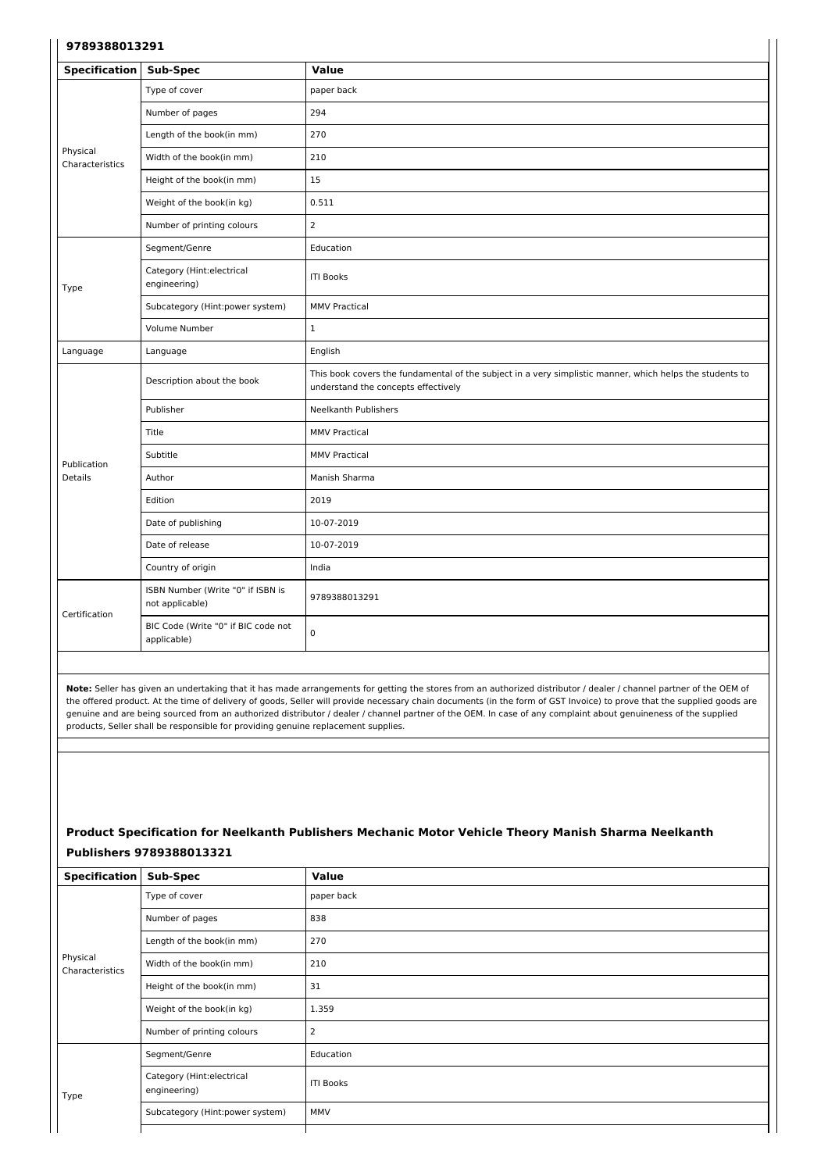#### **9789388013291**

| <b>Specification</b>        | Sub-Spec                                             | <b>Value</b>                                                                                                                                    |
|-----------------------------|------------------------------------------------------|-------------------------------------------------------------------------------------------------------------------------------------------------|
|                             | Type of cover                                        | paper back                                                                                                                                      |
|                             | Number of pages                                      | 294                                                                                                                                             |
|                             | Length of the book(in mm)                            | 270                                                                                                                                             |
| Physical<br>Characteristics | Width of the book(in mm)                             | 210                                                                                                                                             |
|                             | Height of the book(in mm)                            | 15                                                                                                                                              |
|                             | Weight of the book(in kg)                            | 0.511                                                                                                                                           |
|                             | Number of printing colours                           | $\overline{2}$                                                                                                                                  |
|                             | Segment/Genre                                        | Education                                                                                                                                       |
| Type                        | Category (Hint:electrical<br>engineering)            | <b>ITI Books</b>                                                                                                                                |
|                             | Subcategory (Hint:power system)                      | <b>MMV Practical</b>                                                                                                                            |
|                             | Volume Number                                        | $\mathbf{1}$                                                                                                                                    |
| Language                    | Language                                             | English                                                                                                                                         |
|                             | Description about the book                           | This book covers the fundamental of the subject in a very simplistic manner, which helps the students to<br>understand the concepts effectively |
|                             | Publisher                                            | <b>Neelkanth Publishers</b>                                                                                                                     |
|                             | Title                                                | <b>MMV Practical</b>                                                                                                                            |
| Publication                 | Subtitle                                             | <b>MMV Practical</b>                                                                                                                            |
| <b>Details</b>              | Author                                               | Manish Sharma                                                                                                                                   |
|                             | Edition                                              | 2019                                                                                                                                            |
|                             | Date of publishing                                   | 10-07-2019                                                                                                                                      |
|                             | Date of release                                      | 10-07-2019                                                                                                                                      |
|                             | Country of origin                                    | India                                                                                                                                           |
| Certification               | ISBN Number (Write "0" if ISBN is<br>not applicable) | 9789388013291                                                                                                                                   |
|                             | BIC Code (Write "0" if BIC code not<br>applicable)   | $\mathsf 0$                                                                                                                                     |

 $\overline{\phantom{a}}$ 

**Note:** Seller has given an undertaking that it has made arrangements for getting the stores from an authorized distributor / dealer / channel partner of the OEM of the offered product. At the time of delivery of goods, Seller will provide necessary chain documents (in the form of GST Invoice) to prove that the supplied goods are genuine and are being sourced from an authorized distributor / dealer / channel partner of the OEM. In case of any complaint about genuineness of the supplied products, Seller shall be responsible for providing genuine replacement supplies.

# **Product Specification for Neelkanth Publishers Mechanic Motor Vehicle Theory Manish Sharma Neelkanth Publishers 9789388013321**

| <b>Specification</b>        | Sub-Spec                                  | Value            |
|-----------------------------|-------------------------------------------|------------------|
|                             | Type of cover                             | paper back       |
|                             | Number of pages                           | 838              |
|                             | Length of the book(in mm)                 | 270              |
| Physical<br>Characteristics | Width of the book(in mm)                  | 210              |
|                             | Height of the book(in mm)                 | 31               |
|                             | Weight of the book(in kg)                 | 1.359            |
|                             | Number of printing colours                | $\overline{2}$   |
|                             | Segment/Genre                             | Education        |
| Type                        | Category (Hint:electrical<br>engineering) | <b>ITI Books</b> |
|                             | Subcategory (Hint:power system)           | MMV              |
|                             |                                           |                  |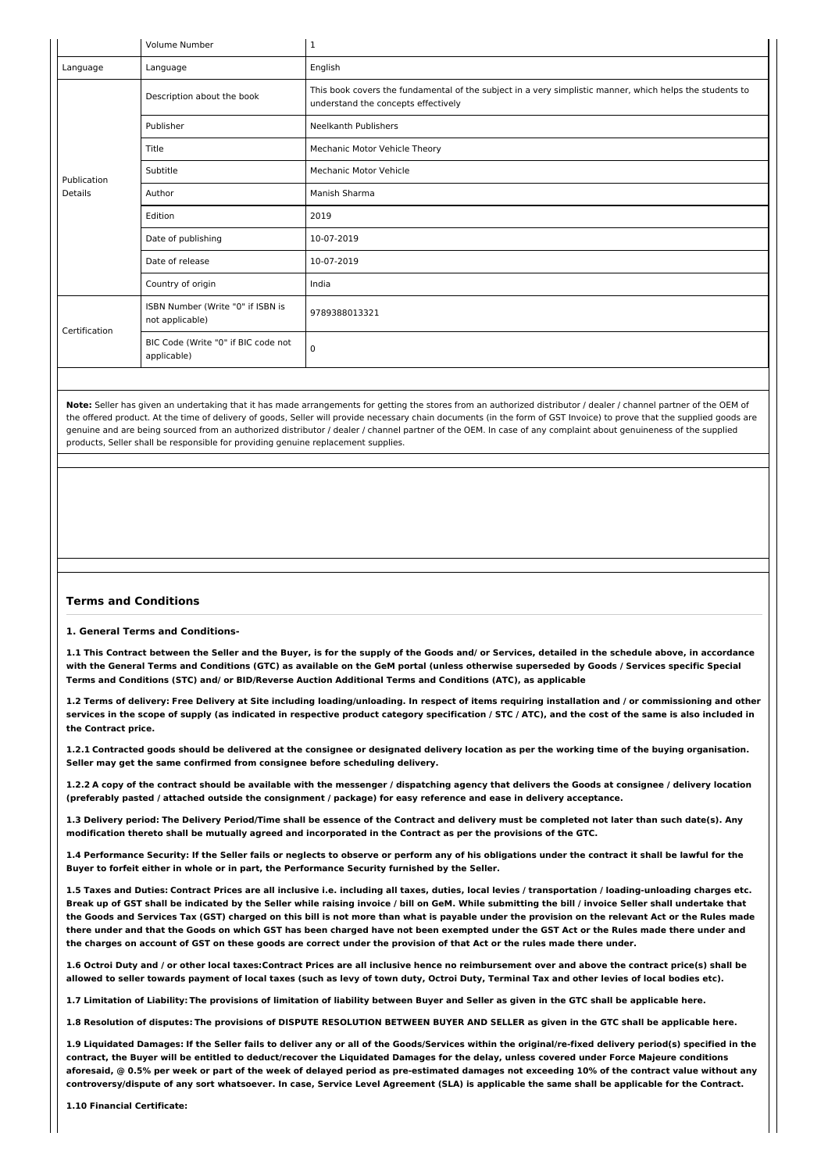|               | Volume Number                                        | 1                                                                                                                                               |  |  |  |
|---------------|------------------------------------------------------|-------------------------------------------------------------------------------------------------------------------------------------------------|--|--|--|
| Language      | Language                                             | English                                                                                                                                         |  |  |  |
|               | Description about the book                           | This book covers the fundamental of the subject in a very simplistic manner, which helps the students to<br>understand the concepts effectively |  |  |  |
|               | Publisher                                            | <b>Neelkanth Publishers</b>                                                                                                                     |  |  |  |
|               | Title                                                | Mechanic Motor Vehicle Theory                                                                                                                   |  |  |  |
| Publication   | Subtitle                                             | Mechanic Motor Vehicle                                                                                                                          |  |  |  |
| Details       | Author                                               | Manish Sharma                                                                                                                                   |  |  |  |
|               | Edition                                              | 2019                                                                                                                                            |  |  |  |
|               | Date of publishing                                   | 10-07-2019                                                                                                                                      |  |  |  |
|               | Date of release                                      | 10-07-2019                                                                                                                                      |  |  |  |
|               | Country of origin                                    | India                                                                                                                                           |  |  |  |
| Certification | ISBN Number (Write "0" if ISBN is<br>not applicable) | 9789388013321                                                                                                                                   |  |  |  |
|               | BIC Code (Write "0" if BIC code not<br>applicable)   | 0                                                                                                                                               |  |  |  |

**Note:** Seller has given an undertaking that it has made arrangements for getting the stores from an authorized distributor / dealer / channel partner of the OEM of the offered product. At the time of delivery of goods, Seller will provide necessary chain documents (in the form of GST Invoice) to prove that the supplied goods are genuine and are being sourced from an authorized distributor / dealer / channel partner of the OEM. In case of any complaint about genuineness of the supplied products, Seller shall be responsible for providing genuine replacement supplies.

#### **Terms and Conditions**

**1. General Terms and Conditions-**

1.1 This Contract between the Seller and the Buver, is for the supply of the Goods and/ or Services, detailed in the schedule above, in accordance with the General Terms and Conditions (GTC) as available on the GeM portal (unless otherwise superseded by Goods / Services specific Special **Terms and Conditions (STC) and/ or BID/Reverse Auction Additional Terms and Conditions (ATC), as applicable**

1.2 Terms of delivery: Free Delivery at Site including loading/unloading. In respect of items requiring installation and / or commissioning and other services in the scope of supply (as indicated in respective product category specification / STC / ATC), and the cost of the same is also included in **the Contract price.**

1.2.1 Contracted goods should be delivered at the consignee or designated delivery location as per the working time of the buying organisation. **Seller may get the same confirmed from consignee before scheduling delivery.**

1.2.2 A copy of the contract should be available with the messenger / dispatching agency that delivers the Goods at consignee / delivery location (preferably pasted / attached outside the consignment / package) for easy reference and ease in delivery acceptance.

1.3 Delivery period: The Delivery Period/Time shall be essence of the Contract and delivery must be completed not later than such date(s). Any modification thereto shall be mutually agreed and incorporated in the Contract as per the provisions of the GTC.

1.4 Performance Security: If the Seller fails or neglects to observe or perform any of his obligations under the contract it shall be lawful for the **Buyer to forfeit either in whole or in part, the Performance Security furnished by the Seller.**

1.5 Taxes and Duties: Contract Prices are all inclusive i.e. including all taxes, duties, local levies / transportation / loading-unloading charges etc. Break up of GST shall be indicated by the Seller while raising invoice / bill on GeM. While submitting the bill / invoice Seller shall undertake that the Goods and Services Tax (GST) charged on this bill is not more than what is payable under the provision on the relevant Act or the Rules made there under and that the Goods on which GST has been charged have not been exempted under the GST Act or the Rules made there under and the charges on account of GST on these goods are correct under the provision of that Act or the rules made there under.

1.6 Octroi Duty and / or other local taxes:Contract Prices are all inclusive hence no reimbursement over and above the contract price(s) shall be allowed to seller towards payment of local taxes (such as levy of town duty, Octroi Duty, Terminal Tax and other levies of local bodies etc).

1.7 Limitation of Liability: The provisions of limitation of liability between Buyer and Seller as given in the GTC shall be applicable here.

1.8 Resolution of disputes: The provisions of DISPUTE RESOLUTION BETWEEN BUYER AND SELLER as given in the GTC shall be applicable here.

1.9 Liquidated Damages: If the Seller fails to deliver any or all of the Goods/Services within the original/re-fixed delivery period(s) specified in the contract, the Buyer will be entitled to deduct/recover the Liquidated Damages for the delay, unless covered under Force Majeure conditions aforesaid, @ 0.5% per week or part of the week of delayed period as pre-estimated damages not exceeding 10% of the contract value without any controversy/dispute of any sort whatsoever. In case, Service Level Agreement (SLA) is applicable the same shall be applicable for the Contract.